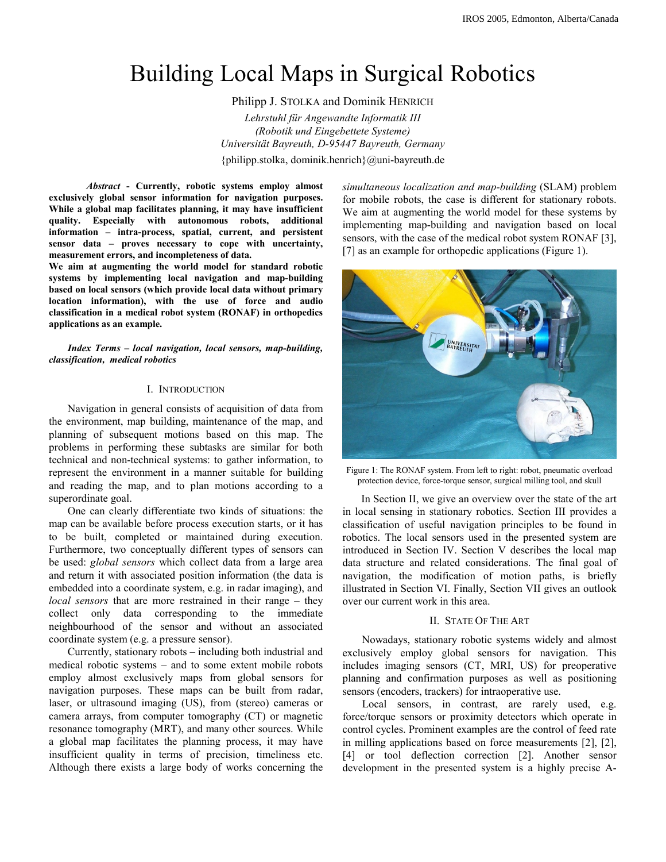# Building Local Maps in Surgical Robotics

Philipp J. STOLKA and Dominik HENRICH

*Lehrstuhl für Angewandte Informatik III (Robotik und Eingebettete Systeme) Universität Bayreuth, D-95447 Bayreuth, Germany*  {philipp.stolka, dominik.henrich}@uni-bayreuth.de

*Abstract* **- Currently, robotic systems employ almost exclusively global sensor information for navigation purposes. While a global map facilitates planning, it may have insufficient quality. Especially with autonomous robots, additional information – intra-process, spatial, current, and persistent sensor data – proves necessary to cope with uncertainty, measurement errors, and incompleteness of data.** 

**We aim at augmenting the world model for standard robotic systems by implementing local navigation and map-building based on local sensors (which provide local data without primary location information), with the use of force and audio classification in a medical robot system (RONAF) in orthopedics applications as an example.** 

*Index Terms – local navigation, local sensors, map-building, classification, medical robotics* 

## I. INTRODUCTION

 Navigation in general consists of acquisition of data from the environment, map building, maintenance of the map, and planning of subsequent motions based on this map. The problems in performing these subtasks are similar for both technical and non-technical systems: to gather information, to represent the environment in a manner suitable for building and reading the map, and to plan motions according to a superordinate goal.

 One can clearly differentiate two kinds of situations: the map can be available before process execution starts, or it has to be built, completed or maintained during execution. Furthermore, two conceptually different types of sensors can be used: *global sensors* which collect data from a large area and return it with associated position information (the data is embedded into a coordinate system, e.g. in radar imaging), and *local sensors* that are more restrained in their range – they collect only data corresponding to the immediate neighbourhood of the sensor and without an associated coordinate system (e.g. a pressure sensor).

 Currently, stationary robots – including both industrial and medical robotic systems – and to some extent mobile robots employ almost exclusively maps from global sensors for navigation purposes. These maps can be built from radar, laser, or ultrasound imaging (US), from (stereo) cameras or camera arrays, from computer tomography (CT) or magnetic resonance tomography (MRT), and many other sources. While a global map facilitates the planning process, it may have insufficient quality in terms of precision, timeliness etc. Although there exists a large body of works concerning the

*simultaneous localization and map-building* (SLAM) problem for mobile robots, the case is different for stationary robots. We aim at augmenting the world model for these systems by implementing map-building and navigation based on local sensors, with the case of the medical robot system RONAF [3], [7] as an example for orthopedic applications (Figure 1).



Figure 1: The RONAF system. From left to right: robot, pneumatic overload protection device, force-torque sensor, surgical milling tool, and skull

 In Section II, we give an overview over the state of the art in local sensing in stationary robotics. Section III provides a classification of useful navigation principles to be found in robotics. The local sensors used in the presented system are introduced in Section IV. Section V describes the local map data structure and related considerations. The final goal of navigation, the modification of motion paths, is briefly illustrated in Section VI. Finally, Section VII gives an outlook over our current work in this area.

## II. STATE OF THE ART

Nowadays, stationary robotic systems widely and almost exclusively employ global sensors for navigation. This includes imaging sensors (CT, MRI, US) for preoperative planning and confirmation purposes as well as positioning sensors (encoders, trackers) for intraoperative use.

Local sensors, in contrast, are rarely used, e.g. force/torque sensors or proximity detectors which operate in control cycles. Prominent examples are the control of feed rate in milling applications based on force measurements [2], [2], [4] or tool deflection correction [2]. Another sensor development in the presented system is a highly precise A-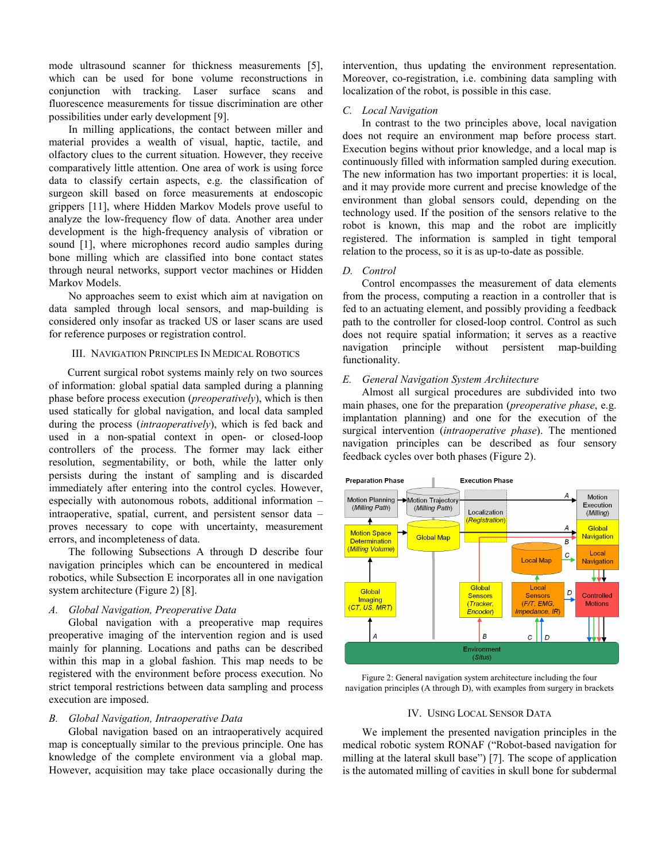mode ultrasound scanner for thickness measurements [5], which can be used for bone volume reconstructions in conjunction with tracking. Laser surface scans and fluorescence measurements for tissue discrimination are other possibilities under early development [9].

 In milling applications, the contact between miller and material provides a wealth of visual, haptic, tactile, and olfactory clues to the current situation. However, they receive comparatively little attention. One area of work is using force data to classify certain aspects, e.g. the classification of surgeon skill based on force measurements at endoscopic grippers [11], where Hidden Markov Models prove useful to analyze the low-frequency flow of data. Another area under development is the high-frequency analysis of vibration or sound [1], where microphones record audio samples during bone milling which are classified into bone contact states through neural networks, support vector machines or Hidden Markov Models.

 No approaches seem to exist which aim at navigation on data sampled through local sensors, and map-building is considered only insofar as tracked US or laser scans are used for reference purposes or registration control.

## III. NAVIGATION PRINCIPLES IN MEDICAL ROBOTICS

Current surgical robot systems mainly rely on two sources of information: global spatial data sampled during a planning phase before process execution (*preoperatively*), which is then used statically for global navigation, and local data sampled during the process (*intraoperatively*), which is fed back and used in a non-spatial context in open- or closed-loop controllers of the process. The former may lack either resolution, segmentability, or both, while the latter only persists during the instant of sampling and is discarded immediately after entering into the control cycles. However, especially with autonomous robots, additional information – intraoperative, spatial, current, and persistent sensor data – proves necessary to cope with uncertainty, measurement errors, and incompleteness of data.

The following Subsections A through D describe four navigation principles which can be encountered in medical robotics, while Subsection E incorporates all in one navigation system architecture (Figure 2) [8].

# *A. Global Navigation, Preoperative Data*

Global navigation with a preoperative map requires preoperative imaging of the intervention region and is used mainly for planning. Locations and paths can be described within this map in a global fashion. This map needs to be registered with the environment before process execution. No strict temporal restrictions between data sampling and process execution are imposed.

## *B. Global Navigation, Intraoperative Data*

Global navigation based on an intraoperatively acquired map is conceptually similar to the previous principle. One has knowledge of the complete environment via a global map. However, acquisition may take place occasionally during the intervention, thus updating the environment representation. Moreover, co-registration, i.e. combining data sampling with localization of the robot, is possible in this case.

## *C. Local Navigation*

In contrast to the two principles above, local navigation does not require an environment map before process start. Execution begins without prior knowledge, and a local map is continuously filled with information sampled during execution. The new information has two important properties: it is local, and it may provide more current and precise knowledge of the environment than global sensors could, depending on the technology used. If the position of the sensors relative to the robot is known, this map and the robot are implicitly registered. The information is sampled in tight temporal relation to the process, so it is as up-to-date as possible.

## *D. Control*

Control encompasses the measurement of data elements from the process, computing a reaction in a controller that is fed to an actuating element, and possibly providing a feedback path to the controller for closed-loop control. Control as such does not require spatial information; it serves as a reactive navigation principle without persistent map-building functionality.

## *E. General Navigation System Architecture*

Almost all surgical procedures are subdivided into two main phases, one for the preparation (*preoperative phase*, e.g. implantation planning) and one for the execution of the surgical intervention (*intraoperative phase*). The mentioned navigation principles can be described as four sensory feedback cycles over both phases (Figure 2).



Figure 2: General navigation system architecture including the four navigation principles (A through D), with examples from surgery in brackets

## IV. USING LOCAL SENSOR DATA

 We implement the presented navigation principles in the medical robotic system RONAF ("Robot-based navigation for milling at the lateral skull base") [7]. The scope of application is the automated milling of cavities in skull bone for subdermal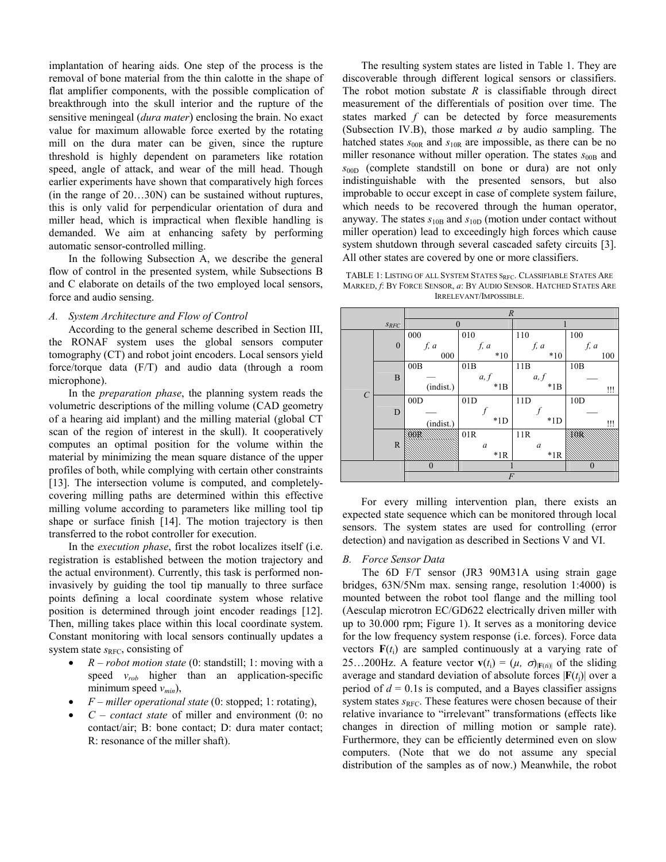implantation of hearing aids. One step of the process is the removal of bone material from the thin calotte in the shape of flat amplifier components, with the possible complication of breakthrough into the skull interior and the rupture of the sensitive meningeal (*dura mater*) enclosing the brain. No exact value for maximum allowable force exerted by the rotating mill on the dura mater can be given, since the rupture threshold is highly dependent on parameters like rotation speed, angle of attack, and wear of the mill head. Though earlier experiments have shown that comparatively high forces (in the range of 20…30N) can be sustained without ruptures, this is only valid for perpendicular orientation of dura and miller head, which is impractical when flexible handling is demanded. We aim at enhancing safety by performing automatic sensor-controlled milling.

 In the following Subsection A, we describe the general flow of control in the presented system, while Subsections B and C elaborate on details of the two employed local sensors, force and audio sensing.

# *A. System Architecture and Flow of Control*

 According to the general scheme described in Section III, the RONAF system uses the global sensors computer tomography (CT) and robot joint encoders. Local sensors yield force/torque data (F/T) and audio data (through a room microphone).

 In the *preparation phase*, the planning system reads the volumetric descriptions of the milling volume (CAD geometry of a hearing aid implant) and the milling material (global CT scan of the region of interest in the skull). It cooperatively computes an optimal position for the volume within the material by minimizing the mean square distance of the upper profiles of both, while complying with certain other constraints [13]. The intersection volume is computed, and completelycovering milling paths are determined within this effective milling volume according to parameters like milling tool tip shape or surface finish [14]. The motion trajectory is then transferred to the robot controller for execution.

 In the *execution phase*, first the robot localizes itself (i.e. registration is established between the motion trajectory and the actual environment). Currently, this task is performed noninvasively by guiding the tool tip manually to three surface points defining a local coordinate system whose relative position is determined through joint encoder readings [12]. Then, milling takes place within this local coordinate system. Constant monitoring with local sensors continually updates a system state *s*<sub>RFC</sub>, consisting of

- - *R – robot motion state* (0: standstill; 1: moving with a speed *vrob* higher than an application-specific minimum speed  $v_{min}$ ),
- -*F – miller operational state* (0: stopped; 1: rotating),
- - *C – contact state* of miller and environment (0: no contact/air; B: bone contact; D: dura mater contact; R: resonance of the miller shaft).

The resulting system states are listed in Table 1. They are discoverable through different logical sensors or classifiers. The robot motion substate *R* is classifiable through direct measurement of the differentials of position over time. The states marked *f* can be detected by force measurements (Subsection IV.B), those marked *a* by audio sampling. The hatched states  $s_{00R}$  and  $s_{10R}$  are impossible, as there can be no miller resonance without miller operation. The states  $s_{00B}$  and *s*00D (complete standstill on bone or dura) are not only indistinguishable with the presented sensors, but also improbable to occur except in case of complete system failure, which needs to be recovered through the human operator, anyway. The states  $s_{10B}$  and  $s_{10D}$  (motion under contact without miller operation) lead to exceedingly high forces which cause system shutdown through several cascaded safety circuits [3]. All other states are covered by one or more classifiers.

TABLE 1: LISTING OF ALL SYSTEM STATES SRFC. CLASSIFIABLE STATES ARE MARKED, *f*: BY FORCE SENSOR, *a*: BY AUDIO SENSOR. HATCHED STATES ARE IRRELEVANT/IMPOSSIBLE.

|                              |              | $\boldsymbol{R}$ |                  |                  |          |  |  |  |
|------------------------------|--------------|------------------|------------------|------------------|----------|--|--|--|
| $\mathcal{S}_{\mathit{RFC}}$ |              | $\Omega$         |                  |                  |          |  |  |  |
| $\mathcal{C}_{0}^{0}$        | $\mathbf{0}$ | 000              | 010              | 110              | 100      |  |  |  |
|                              |              | f, a             | f, a             | f, a             | f, a     |  |  |  |
|                              |              | 000              | $*10$            | $*10$            | 100      |  |  |  |
|                              | $\, {\bf B}$ | 00B              | 01B              | 11B              | 10B      |  |  |  |
|                              |              |                  | a, f             | a, f             |          |  |  |  |
|                              |              | (indist.)        | $*1B$            | $*1B$            | !!!      |  |  |  |
|                              | $\mathbf D$  | 00D              | 01D              | 11D              | 10D      |  |  |  |
|                              |              |                  |                  |                  |          |  |  |  |
|                              |              | (indist.)        | $*1D$            | $*1D$            | !!!      |  |  |  |
|                              | ${\bf R}$    |                  | 01R              | 11R              |          |  |  |  |
|                              |              |                  | $\boldsymbol{a}$ | $\boldsymbol{a}$ |          |  |  |  |
|                              |              |                  | $*1R$            | $*1R$            |          |  |  |  |
|                              |              | $\overline{0}$   |                  |                  | $\theta$ |  |  |  |
|                              |              | $\overline{F}$   |                  |                  |          |  |  |  |

For every milling intervention plan, there exists an expected state sequence which can be monitored through local sensors. The system states are used for controlling (error detection) and navigation as described in Sections V and VI.

#### *B. Force Sensor Data*

 The 6D F/T sensor (JR3 90M31A using strain gage bridges, 63N/5Nm max. sensing range, resolution 1:4000) is mounted between the robot tool flange and the milling tool (Aesculap microtron EC/GD622 electrically driven miller with up to 30.000 rpm; Figure 1). It serves as a monitoring device for the low frequency system response (i.e. forces). Force data vectors  $F(t_i)$  are sampled continuously at a varying rate of 25…200Hz. A feature vector  $\mathbf{v}(t_i) = (\mu, \sigma)_{|\mathbf{F}(t_i)|}$  of the sliding average and standard deviation of absolute forces  $|\mathbf{F}(t_1)|$  over a period of  $d = 0.1$ s is computed, and a Bayes classifier assigns system states  $s_{\text{RFC}}$ . These features were chosen because of their relative invariance to "irrelevant" transformations (effects like changes in direction of milling motion or sample rate). Furthermore, they can be efficiently determined even on slow computers. (Note that we do not assume any special distribution of the samples as of now.) Meanwhile, the robot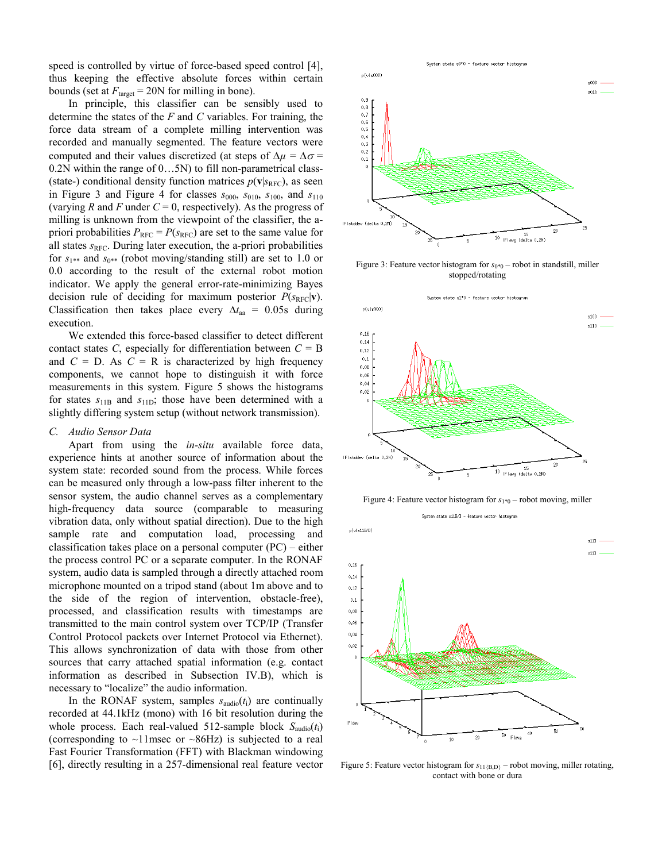speed is controlled by virtue of force-based speed control [4], thus keeping the effective absolute forces within certain bounds (set at  $F_{\text{target}} = 20N$  for milling in bone).

 In principle, this classifier can be sensibly used to determine the states of the *F* and *C* variables. For training, the force data stream of a complete milling intervention was recorded and manually segmented. The feature vectors were computed and their values discretized (at steps of  $\Delta \mu = \Delta \sigma =$ 0.2N within the range of 0…5N) to fill non-parametrical class- (state-) conditional density function matrices  $p(\mathbf{v}|s_{\text{RFC}})$ , as seen in Figure 3 and Figure 4 for classes  $s_{000}$ ,  $s_{010}$ ,  $s_{100}$ , and  $s_{110}$ (varying *R* and *F* under  $C = 0$ , respectively). As the progress of milling is unknown from the viewpoint of the classifier, the apriori probabilities  $P_{\text{RFC}} = P(s_{\text{RFC}})$  are set to the same value for all states  $s_{\text{RFC}}$ . During later execution, the a-priori probabilities for  $s_{1**}$  and  $s_{0**}$  (robot moving/standing still) are set to 1.0 or 0.0 according to the result of the external robot motion indicator. We apply the general error-rate-minimizing Bayes decision rule of deciding for maximum posterior  $P(s_{\text{RFC}}|\mathbf{v})$ . Classification then takes place every  $\Delta t_{aa}$  = 0.05s during execution.

 We extended this force-based classifier to detect different contact states *C*, especially for differentiation between  $C = B$ and  $C = D$ . As  $C = R$  is characterized by high frequency components, we cannot hope to distinguish it with force measurements in this system. Figure 5 shows the histograms for states  $s_{11B}$  and  $s_{11D}$ ; those have been determined with a slightly differing system setup (without network transmission).

## *C. Audio Sensor Data*

Apart from using the *in-situ* available force data, experience hints at another source of information about the system state: recorded sound from the process. While forces can be measured only through a low-pass filter inherent to the sensor system, the audio channel serves as a complementary high-frequency data source (comparable to measuring vibration data, only without spatial direction). Due to the high sample rate and computation load, processing and classification takes place on a personal computer (PC) – either the process control PC or a separate computer. In the RONAF system, audio data is sampled through a directly attached room microphone mounted on a tripod stand (about 1m above and to the side of the region of intervention, obstacle-free), processed, and classification results with timestamps are transmitted to the main control system over TCP/IP (Transfer Control Protocol packets over Internet Protocol via Ethernet). This allows synchronization of data with those from other sources that carry attached spatial information (e.g. contact information as described in Subsection IV.B), which is necessary to "localize" the audio information.

In the RONAF system, samples  $s_{\text{audio}}(t_i)$  are continually recorded at 44.1kHz (mono) with 16 bit resolution during the whole process. Each real-valued 512-sample block *S*audio(*t*i) (corresponding to  $\sim$ 11msec or  $\sim$ 86Hz) is subjected to a real Fast Fourier Transformation (FFT) with Blackman windowing [6], directly resulting in a 257-dimensional real feature vector



Figure 3: Feature vector histogram for  $s_{0*0}$  – robot in standstill, miller stopped/rotating



Figure 4: Feature vector histogram for  $s_{1*0}$  – robot moving, miller

System state s11B/D - feature vector histogram



Figure 5: Feature vector histogram for  $s_{11\{B,D\}}$  – robot moving, miller rotating, contact with bone or dura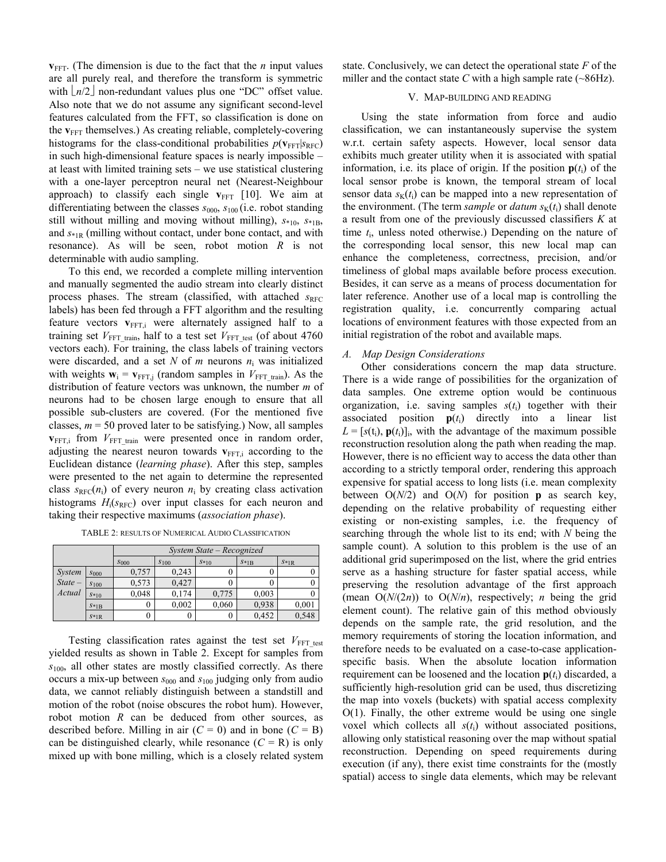**. (The dimension is due to the fact that the** *n* **input values** are all purely real, and therefore the transform is symmetric with  $n/2$  non-redundant values plus one "DC" offset value. Also note that we do not assume any significant second-level features calculated from the FFT, so classification is done on the **v**<sub>FFT</sub> themselves.) As creating reliable, completely-covering histograms for the class-conditional probabilities  $p(\mathbf{v}_{\text{FFT}}|s_{\text{RFC}})$ in such high-dimensional feature spaces is nearly impossible – at least with limited training sets – we use statistical clustering with a one-layer perceptron neural net (Nearest-Neighbour approach) to classify each single  $v_{\text{FFT}}$  [10]. We aim at differentiating between the classes  $s_{000}$ ,  $s_{100}$  (i.e. robot standing still without milling and moving without milling),  $S*_{10}$ ,  $S*_{1B}$ , and *s*\*1R (milling without contact, under bone contact, and with resonance). As will be seen, robot motion *R* is not determinable with audio sampling.

 To this end, we recorded a complete milling intervention and manually segmented the audio stream into clearly distinct process phases. The stream (classified, with attached *s*<sub>RFC</sub> labels) has been fed through a FFT algorithm and the resulting feature vectors  $v_{\text{FFT,i}}$  were alternately assigned half to a training set  $V_{\text{FFT train}}$ , half to a test set  $V_{\text{FFT test}}$  (of about 4760 vectors each). For training, the class labels of training vectors were discarded, and a set N of  $m$  neurons  $n_i$  was initialized with weights  $\mathbf{w}_i = \mathbf{v}_{\text{FFT},j}$  (random samples in  $V_{\text{FFT train}}$ ). As the distribution of feature vectors was unknown, the number *m* of neurons had to be chosen large enough to ensure that all possible sub-clusters are covered. (For the mentioned five classes,  $m = 50$  proved later to be satisfying.) Now, all samples  $v_{\text{FFT,i}}$  from  $V_{\text{FFT train}}$  were presented once in random order, adjusting the nearest neuron towards  $v_{\text{FFT},i}$  according to the Euclidean distance (*learning phase*). After this step, samples were presented to the net again to determine the represented class  $s_{\text{RFC}}(n_i)$  of every neuron  $n_i$  by creating class activation histograms  $H_i(s_{\text{RFC}})$  over input classes for each neuron and taking their respective maximums (*association phase*).

|          |           | System State - Recognized |           |        |        |        |  |  |
|----------|-----------|---------------------------|-----------|--------|--------|--------|--|--|
|          |           | $S_{000}$                 | $S_{100}$ | $S*10$ | $S*1B$ | $S*1R$ |  |  |
| System   | $S_{000}$ | 0,757                     | 0.243     |        |        |        |  |  |
| $State-$ | S100      | 0.573                     | 0.427     |        |        |        |  |  |
| Actual   | $S*10$    | 0.048                     | 0.174     | 0,775  | 0,003  |        |  |  |
|          | $S*1B$    |                           | 0,002     | 0,060  | 0.938  | 0,001  |  |  |

 $s_{\text{I}R}$  0 0 0,452 0,548

TABLE 2: RESULTS OF NUMERICAL AUDIO CLASSIFICATION

Testing classification rates against the test set  $V_{\text{FFT test}}$ yielded results as shown in Table 2. Except for samples from *s*100, all other states are mostly classified correctly. As there occurs a mix-up between *s*000 and *s*100 judging only from audio data, we cannot reliably distinguish between a standstill and motion of the robot (noise obscures the robot hum). However, robot motion *R* can be deduced from other sources, as described before. Milling in air  $(C = 0)$  and in bone  $(C = B)$ can be distinguished clearly, while resonance  $(C = R)$  is only mixed up with bone milling, which is a closely related system state. Conclusively, we can detect the operational state *F* of the miller and the contact state  $C$  with a high sample rate ( $\sim$ 86Hz).

## V. MAP-BUILDING AND READING

Using the state information from force and audio classification, we can instantaneously supervise the system w.r.t. certain safety aspects. However, local sensor data exhibits much greater utility when it is associated with spatial information, i.e. its place of origin. If the position  $p(t_i)$  of the local sensor probe is known, the temporal stream of local sensor data  $s<sub>K</sub>(t<sub>i</sub>)$  can be mapped into a new representation of the environment. (The term *sample* or *datum*  $s<sub>K</sub>(t<sub>i</sub>)$  shall denote a result from one of the previously discussed classifiers *K* at time *t*i, unless noted otherwise.) Depending on the nature of the corresponding local sensor, this new local map can enhance the completeness, correctness, precision, and/or timeliness of global maps available before process execution. Besides, it can serve as a means of process documentation for later reference. Another use of a local map is controlling the registration quality, i.e. concurrently comparing actual locations of environment features with those expected from an initial registration of the robot and available maps.

## *A. Map Design Considerations*

Other considerations concern the map data structure. There is a wide range of possibilities for the organization of data samples. One extreme option would be continuous organization, i.e. saving samples  $s(t<sub>i</sub>)$  together with their associated position  $p(t_i)$  directly into a linear list  $L = [s(t_i), p(t_i)]_i$ , with the advantage of the maximum possible reconstruction resolution along the path when reading the map. However, there is no efficient way to access the data other than according to a strictly temporal order, rendering this approach expensive for spatial access to long lists (i.e. mean complexity between  $O(N/2)$  and  $O(N)$  for position **p** as search key, depending on the relative probability of requesting either existing or non-existing samples, i.e. the frequency of searching through the whole list to its end; with *N* being the sample count). A solution to this problem is the use of an additional grid superimposed on the list, where the grid entries serve as a hashing structure for faster spatial access, while preserving the resolution advantage of the first approach (mean  $O(N/(2n))$  to  $O(N/n)$ , respectively; *n* being the grid element count). The relative gain of this method obviously depends on the sample rate, the grid resolution, and the memory requirements of storing the location information, and therefore needs to be evaluated on a case-to-case applicationspecific basis. When the absolute location information requirement can be loosened and the location  $p(t_i)$  discarded, a sufficiently high-resolution grid can be used, thus discretizing the map into voxels (buckets) with spatial access complexity  $O(1)$ . Finally, the other extreme would be using one single voxel which collects all  $s(t_i)$  without associated positions, allowing only statistical reasoning over the map without spatial reconstruction. Depending on speed requirements during execution (if any), there exist time constraints for the (mostly spatial) access to single data elements, which may be relevant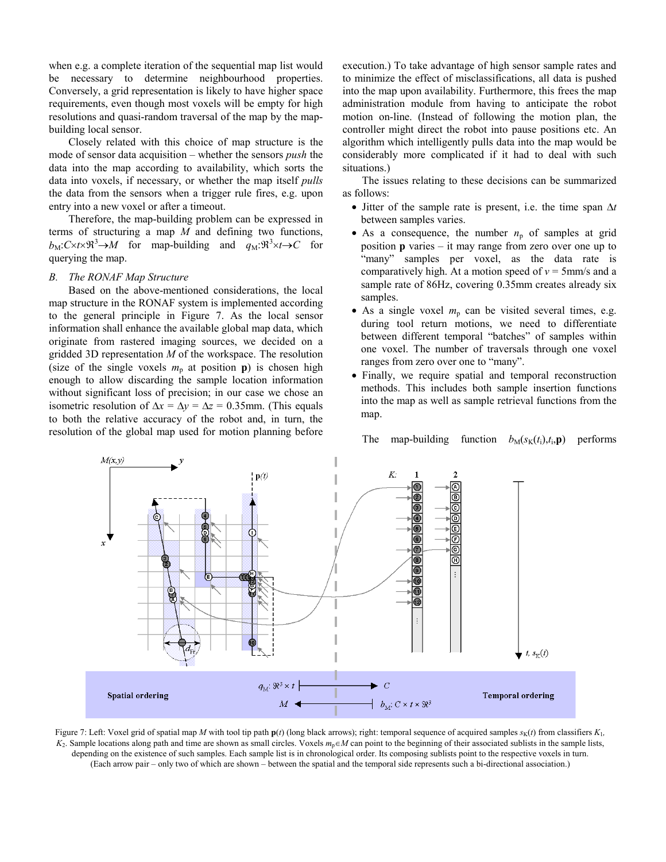when e.g. a complete iteration of the sequential map list would be necessary to determine neighbourhood properties. Conversely, a grid representation is likely to have higher space requirements, even though most voxels will be empty for high resolutions and quasi-random traversal of the map by the mapbuilding local sensor.

Closely related with this choice of map structure is the mode of sensor data acquisition – whether the sensors *push* the data into the map according to availability, which sorts the data into voxels, if necessary, or whether the map itself *pulls*  the data from the sensors when a trigger rule fires, e.g. upon entry into a new voxel or after a timeout.

 Therefore, the map-building problem can be expressed in terms of structuring a map *M* and defining two functions,  $b_M: C \times t \times \Re^3 \to M$  for map-building and  $q_M: \Re^3 \times t \to C$  for querying the map.

## *B. The RONAF Map Structure*

 Based on the above-mentioned considerations, the local map structure in the RONAF system is implemented according to the general principle in Figure 7. As the local sensor information shall enhance the available global map data, which originate from rastered imaging sources, we decided on a gridded 3D representation *M* of the workspace. The resolution (size of the single voxels  $m_p$  at position **p**) is chosen high enough to allow discarding the sample location information without significant loss of precision; in our case we chose an isometric resolution of  $\Delta x = \Delta y = \Delta z = 0.35$ mm. (This equals to both the relative accuracy of the robot and, in turn, the resolution of the global map used for motion planning before execution.) To take advantage of high sensor sample rates and to minimize the effect of misclassifications, all data is pushed into the map upon availability. Furthermore, this frees the map administration module from having to anticipate the robot motion on-line. (Instead of following the motion plan, the controller might direct the robot into pause positions etc. An algorithm which intelligently pulls data into the map would be considerably more complicated if it had to deal with such situations.)

 The issues relating to these decisions can be summarized as follows:

- $\bullet$  Jitter of the sample rate is present, i.e. the time span  $\Delta t$ between samples varies.
- As a consequence, the number  $n_p$  of samples at grid position **p** varies – it may range from zero over one up to "many" samples per voxel, as the data rate is comparatively high. At a motion speed of  $v = 5$ mm/s and a sample rate of 86Hz, covering 0.35mm creates already six samples.
- $\bullet$  As a single voxel  $m_p$  can be visited several times, e.g. during tool return motions, we need to differentiate between different temporal "batches" of samples within one voxel. The number of traversals through one voxel ranges from zero over one to "many".
- Finally, we require spatial and temporal reconstruction methods. This includes both sample insertion functions into the map as well as sample retrieval functions from the map.

The map-building function  $b_M(s_K(t_i), t_i, \mathbf{p})$  performs



Figure 7: Left: Voxel grid of spatial map *M* with tool tip path  $p(t)$  (long black arrows); right: temporal sequence of acquired samples  $s<sub>K</sub>(t)$  from classifiers  $K<sub>L</sub>$ ,  $K_2$ . Sample locations along path and time are shown as small circles. Voxels  $m_p \in M$  can point to the beginning of their associated sublists in the sample lists, depending on the existence of such samples. Each sample list is in chronological order. Its composing sublists point to the respective voxels in turn. (Each arrow pair – only two of which are shown – between the spatial and the temporal side represents such a bi-directional association.)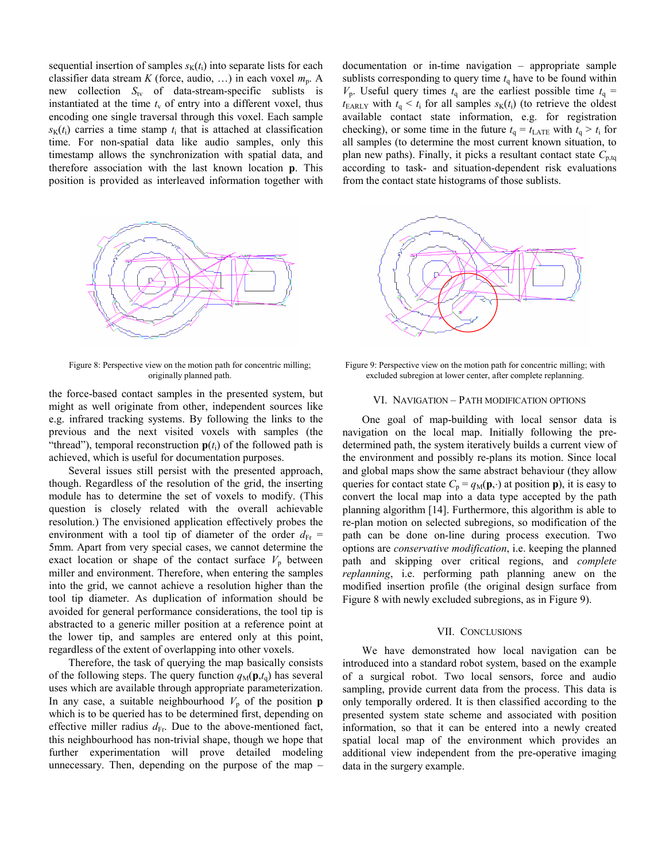sequential insertion of samples  $s<sub>K</sub>(t<sub>i</sub>)$  into separate lists for each classifier data stream *K* (force, audio, ...) in each voxel  $m_p$ . A new collection *S*<sub>tv</sub> of data-stream-specific sublists is instantiated at the time  $t<sub>v</sub>$  of entry into a different voxel, thus encoding one single traversal through this voxel. Each sample  $s_k(t)$  carries a time stamp  $t_i$  that is attached at classification time. For non-spatial data like audio samples, only this timestamp allows the synchronization with spatial data, and therefore association with the last known location **p**. This position is provided as interleaved information together with



Figure 8: Perspective view on the motion path for concentric milling; originally planned path.

the force-based contact samples in the presented system, but might as well originate from other, independent sources like e.g. infrared tracking systems. By following the links to the previous and the next visited voxels with samples (the "thread"), temporal reconstruction  $p(t_i)$  of the followed path is achieved, which is useful for documentation purposes.

Several issues still persist with the presented approach, though. Regardless of the resolution of the grid, the inserting module has to determine the set of voxels to modify. (This question is closely related with the overall achievable resolution.) The envisioned application effectively probes the environment with a tool tip of diameter of the order  $d_{\text{Fr}}$  = 5mm. Apart from very special cases, we cannot determine the exact location or shape of the contact surface  $V_p$  between miller and environment. Therefore, when entering the samples into the grid, we cannot achieve a resolution higher than the tool tip diameter. As duplication of information should be avoided for general performance considerations, the tool tip is abstracted to a generic miller position at a reference point at the lower tip, and samples are entered only at this point, regardless of the extent of overlapping into other voxels.

 Therefore, the task of querying the map basically consists of the following steps. The query function  $q_M(\mathbf{p},t_{\mathbf{q}})$  has several uses which are available through appropriate parameterization. In any case, a suitable neighbourhood  $V_p$  of the position **p** which is to be queried has to be determined first, depending on effective miller radius  $d_{\text{Fr}}$ . Due to the above-mentioned fact, this neighbourhood has non-trivial shape, though we hope that further experimentation will prove detailed modeling unnecessary. Then, depending on the purpose of the map – documentation or in-time navigation – appropriate sample sublists corresponding to query time  $t<sub>a</sub>$  have to be found within  $V_p$ . Useful query times  $t_q$  are the earliest possible time  $t_q$  =  $t_{\text{EARLY}}$  with  $t_q \leq t_i$  for all samples  $s_k(t_i)$  (to retrieve the oldest available contact state information, e.g. for registration checking), or some time in the future  $t_q = t_{\text{LATE}}$  with  $t_q > t_i$  for all samples (to determine the most current known situation, to plan new paths). Finally, it picks a resultant contact state  $C_{p,tq}$ according to task- and situation-dependent risk evaluations from the contact state histograms of those sublists.



Figure 9: Perspective view on the motion path for concentric milling; with excluded subregion at lower center, after complete replanning.

## VI. NAVIGATION – PATH MODIFICATION OPTIONS

One goal of map-building with local sensor data is navigation on the local map. Initially following the predetermined path, the system iteratively builds a current view of the environment and possibly re-plans its motion. Since local and global maps show the same abstract behaviour (they allow queries for contact state  $C_p = q_M(\mathbf{p}, \cdot)$  at position **p**), it is easy to convert the local map into a data type accepted by the path planning algorithm [14]. Furthermore, this algorithm is able to re-plan motion on selected subregions, so modification of the path can be done on-line during process execution. Two options are *conservative modification*, i.e. keeping the planned path and skipping over critical regions, and *complete replanning*, i.e. performing path planning anew on the modified insertion profile (the original design surface from Figure 8 with newly excluded subregions, as in Figure 9).

#### VII. CONCLUSIONS

We have demonstrated how local navigation can be introduced into a standard robot system, based on the example of a surgical robot. Two local sensors, force and audio sampling, provide current data from the process. This data is only temporally ordered. It is then classified according to the presented system state scheme and associated with position information, so that it can be entered into a newly created spatial local map of the environment which provides an additional view independent from the pre-operative imaging data in the surgery example.